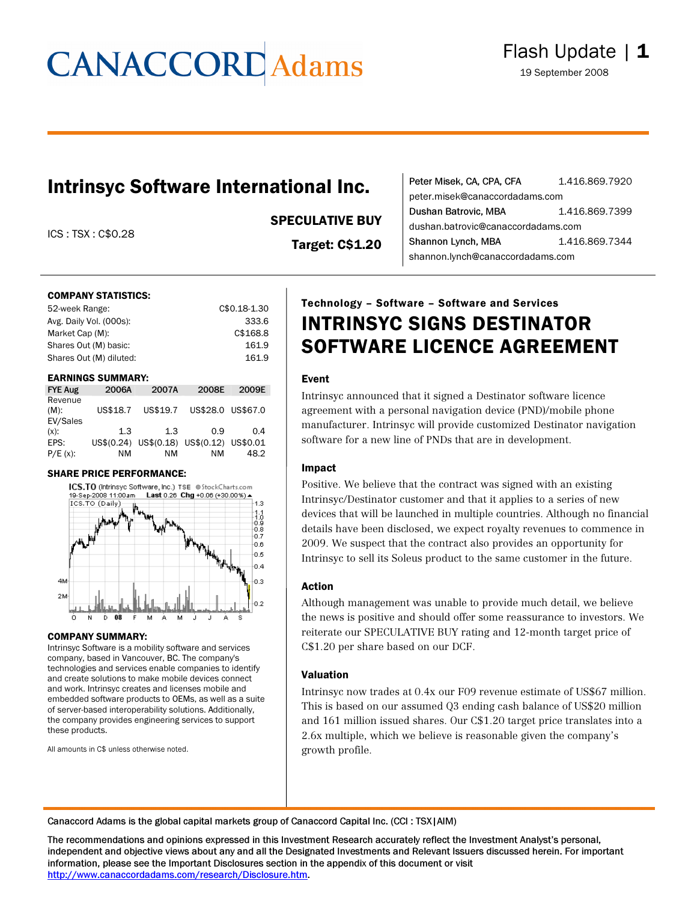# **CANACCORD** Adams

### Intrinsyc Software International Inc.

ICS : TSX : C\$0.28

### SPECULATIVE BUY

Target: C\$1.20

| Peter Misek, CA, CPA, CFA          | 1.416.869.7920 |
|------------------------------------|----------------|
| peter.misek@canaccordadams.com     |                |
| Dushan Batrovic, MBA               | 1.416.869.7399 |
| dushan.batrovic@canaccordadams.com |                |
| Shannon Lynch, MBA                 | 1.416.869.7344 |
| shannon.lynch@canaccordadams.com   |                |

#### COMPANY STATISTICS:

| C\$0.18-1.30 |
|--------------|
| 333.6        |
| C\$168.8     |
| 161.9        |
| 161.9        |
|              |

#### EARNINGS SUMMARY:

| <b>FYE Aug</b>                 | 2006A    | 2007A                                     | 2008E             | 2009E |
|--------------------------------|----------|-------------------------------------------|-------------------|-------|
| Revenue<br>$(M)$ :<br>EV/Sales | US\$18.7 | US\$19.7                                  | US\$28.0 US\$67.0 |       |
| $(x)$ :                        | 1.3      | 1.3                                       | 0.9               | 0.4   |
| EPS:                           |          | US\$(0.24) US\$(0.18) US\$(0.12) US\$0.01 |                   |       |
| $P/E(x)$ :                     | ΝM       | ΝM                                        | ΝM                | 48.2  |

#### SHARE PRICE PERFORMANCE:



#### COMPANY SUMMARY:

Intrinsyc Software is a mobility software and services company, based in Vancouver, BC. The company's technologies and services enable companies to identify and create solutions to make mobile devices connect and work. Intrinsyc creates and licenses mobile and embedded software products to OEMs, as well as a suite of server-based interoperability solutions. Additionally, the company provides engineering services to support these products.

All amounts in C\$ unless otherwise noted.

### Technology – Software – Software and Services INTRINSYC SIGNS DESTINATOR SOFTWARE LICENCE AGREEMENT

#### Event

Intrinsyc announced that it signed a Destinator software licence agreement with a personal navigation device (PND)/mobile phone manufacturer. Intrinsyc will provide customized Destinator navigation software for a new line of PNDs that are in development.

#### Impact

Positive. We believe that the contract was signed with an existing Intrinsyc/Destinator customer and that it applies to a series of new devices that will be launched in multiple countries. Although no financial details have been disclosed, we expect royalty revenues to commence in 2009. We suspect that the contract also provides an opportunity for Intrinsyc to sell its Soleus product to the same customer in the future.

#### Action

Although management was unable to provide much detail, we believe the news is positive and should offer some reassurance to investors. We reiterate our SPECULATIVE BUY rating and 12-month target price of C\$1.20 per share based on our DCF.

#### Valuation

Intrinsyc now trades at 0.4x our F09 revenue estimate of US\$67 million. This is based on our assumed Q3 ending cash balance of US\$20 million and 161 million issued shares. Our C\$1.20 target price translates into a 2.6x multiple, which we believe is reasonable given the company's growth profile.

Canaccord Adams is the global capital markets group of Canaccord Capital Inc. (CCI : TSX|AIM)

The recommendations and opinions expressed in this Investment Research accurately reflect the Investment Analyst's personal, independent and objective views about any and all the Designated Investments and Relevant Issuers discussed herein. For important information, please see the Important Disclosures section in the appendix of this document or visit [http://www.canaccordadams.com/research/Disclosure.htm.](http://www.canaccordadams.com/research/Disclosure.htm)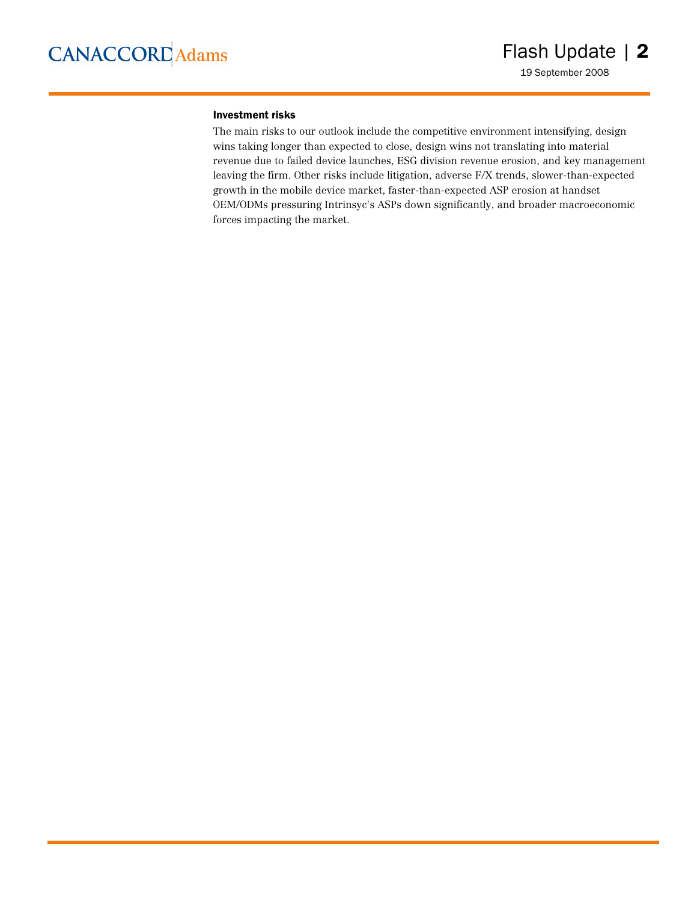#### Investment risks

The main risks to our outlook include the competitive environment intensifying, design wins taking longer than expected to close, design wins not translating into material revenue due to failed device launches, ESG division revenue erosion, and key management leaving the firm. Other risks include litigation, adverse F/X trends, slower-than-expected growth in the mobile device market, faster-than-expected ASP erosion at handset OEM/ODMs pressuring Intrinsyc's ASPs down significantly, and broader macroeconomic forces impacting the market.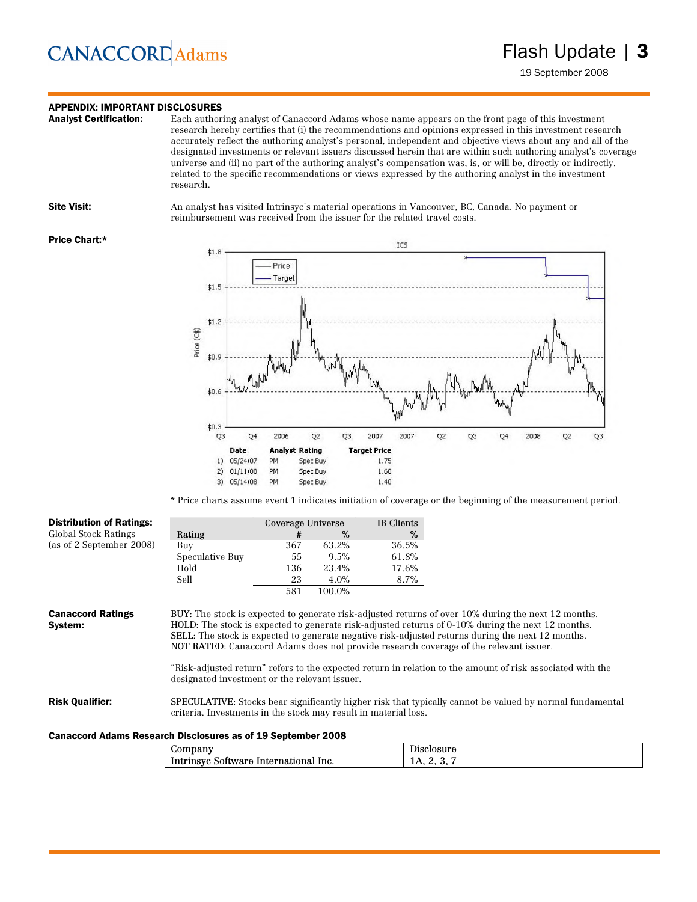## **CANACCORD** Adams

### **APPENDIX: IMPORTANT DISCLOSURES**<br>**Analyst Certification:** Each author

Each authoring analyst of Canaccord Adams whose name appears on the front page of this investment research hereby certifies that (i) the recommendations and opinions expressed in this investment research accurately reflect the authoring analyst's personal, independent and objective views about any and all of the designated investments or relevant issuers discussed herein that are within such authoring analyst's coverage universe and (ii) no part of the authoring analyst's compensation was, is, or will be, directly or indirectly, related to the specific recommendations or views expressed by the authoring analyst in the investment research.

Site Visit: An analyst has visited Intrinsyc's material operations in Vancouver, BC, Canada. No payment or reimbursement was received from the issuer for the related travel costs.

#### Price Chart:\*



\* Price charts assume event 1 indicates initiation of coverage or the beginning of the measurement period.

| <b>Distribution of Ratings:</b> |                                                                                                                                                                                                                                                                                                 | Coverage Universe |        | IB Clients |                                                                                                                 |
|---------------------------------|-------------------------------------------------------------------------------------------------------------------------------------------------------------------------------------------------------------------------------------------------------------------------------------------------|-------------------|--------|------------|-----------------------------------------------------------------------------------------------------------------|
| Global Stock Ratings            | Rating                                                                                                                                                                                                                                                                                          | #                 | %      | %          |                                                                                                                 |
| (as of 2 September 2008)        | Buy                                                                                                                                                                                                                                                                                             | 367               | 63.2%  | 36.5%      |                                                                                                                 |
|                                 | Speculative Buy                                                                                                                                                                                                                                                                                 | 55                | 9.5%   | 61.8%      |                                                                                                                 |
|                                 | Hold                                                                                                                                                                                                                                                                                            | 136               | 23.4%  | 17.6%      |                                                                                                                 |
|                                 | Sell                                                                                                                                                                                                                                                                                            | 23                | 4.0%   | 8.7%       |                                                                                                                 |
|                                 |                                                                                                                                                                                                                                                                                                 | 581               | 100.0% |            |                                                                                                                 |
| System:                         | HOLD: The stock is expected to generate risk-adjusted returns of 0-10% during the next 12 months.<br>SELL: The stock is expected to generate negative risk-adjusted returns during the next 12 months.<br>NOT RATED: Canaccord Adams does not provide research coverage of the relevant issuer. |                   |        |            |                                                                                                                 |
|                                 | "Risk-adjusted return" refers to the expected return in relation to the amount of risk associated with the                                                                                                                                                                                      |                   |        |            |                                                                                                                 |
|                                 | designated investment or the relevant issuer.                                                                                                                                                                                                                                                   |                   |        |            |                                                                                                                 |
| <b>Risk Qualifier:</b>          | criteria. Investments in the stock may result in material loss.                                                                                                                                                                                                                                 |                   |        |            | <b>SPECULATIVE:</b> Stocks bear significantly higher risk that typically cannot be valued by normal fundamental |

#### Canaccord Adams Research Disclosures as of 19 September 2008

| $\omega$ ompany                                | Disclosure |
|------------------------------------------------|------------|
| Intrinsyc<br>lnc.<br>International<br>Software | 11 L.<br>ູ |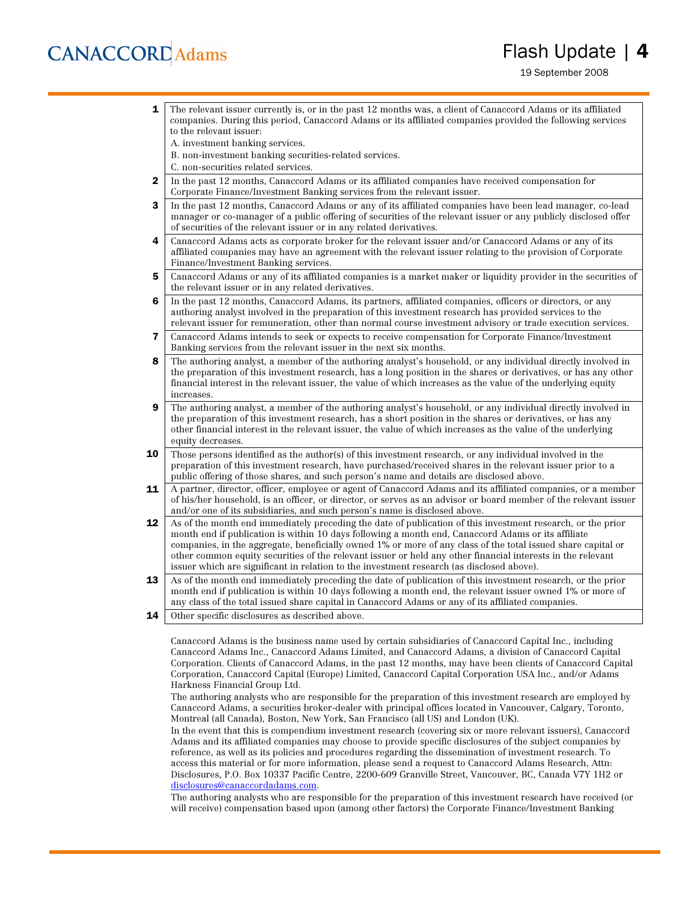## **CANACCORD** Adams

### Flash Update | 4

19 September 2008

**1** The relevant issuer currently is, or in the past 12 months was, a client of Canaccord Adams or its affiliated companies. During this period, Canaccord Adams or its affiliated companies provided the following services to the relevant issuer: A. investment banking services. B. non-investment banking securities-related services. C. non-securities related services. 2 In the past 12 months, Canaccord Adams or its affiliated companies have received compensation for Corporate Finance/Investment Banking services from the relevant issuer. **3** In the past 12 months, Canaccord Adams or any of its affiliated companies have been lead manager, co-lead manager or co-manager of a public offering of securities of the relevant issuer or any publicly disclosed offer of securities of the relevant issuer or in any related derivatives. 4 Canaccord Adams acts as corporate broker for the relevant issuer and/or Canaccord Adams or any of its affiliated companies may have an agreement with the relevant issuer relating to the provision of Corporate Finance/Investment Banking services. 5 Canaccord Adams or any of its affiliated companies is a market maker or liquidity provider in the securities of the relevant issuer or in any related derivatives. 6 In the past 12 months, Canaccord Adams, its partners, affiliated companies, officers or directors, or any authoring analyst involved in the preparation of this investment research has provided services to the relevant issuer for remuneration, other than normal course investment advisory or trade execution services. 7 Canaccord Adams intends to seek or expects to receive compensation for Corporate Finance/Investment Banking services from the relevant issuer in the next six months. 8 The authoring analyst, a member of the authoring analyst's household, or any individual directly involved in the preparation of this investment research, has a long position in the shares or derivatives, or has any other financial interest in the relevant issuer, the value of which increases as the value of the underlying equity increases. **9** The authoring analyst, a member of the authoring analyst's household, or any individual directly involved in the preparation of this investment research, has a short position in the shares or derivatives, or has any other financial interest in the relevant issuer, the value of which increases as the value of the underlying equity decreases. **10** Those persons identified as the author(s) of this investment research, or any individual involved in the preparation of this investment research, have purchased/received shares in the relevant issuer prior to a public offering of those shares, and such person's name and details are disclosed above. 11 A partner, director, officer, employee or agent of Canaccord Adams and its affiliated companies, or a member of his/her household, is an officer, or director, or serves as an advisor or board member of the relevant issuer and/or one of its subsidiaries, and such person's name is disclosed above. 12 As of the month end immediately preceding the date of publication of this investment research, or the prior month end if publication is within 10 days following a month end, Canaccord Adams or its affiliate companies, in the aggregate, beneficially owned 1% or more of any class of the total issued share capital or other common equity securities of the relevant issuer or held any other financial interests in the relevant issuer which are significant in relation to the investment research (as disclosed above). 13 As of the month end immediately preceding the date of publication of this investment research, or the prior month end if publication is within 10 days following a month end, the relevant issuer owned 1% or more of any class of the total issued share capital in Canaccord Adams or any of its affiliated companies. **14** Other specific disclosures as described above. Canaccord Adams is the business name used by certain subsidiaries of Canaccord Capital Inc., including

Canaccord Adams Inc., Canaccord Adams Limited, and Canaccord Adams, a division of Canaccord Capital Corporation. Clients of Canaccord Adams, in the past 12 months, may have been clients of Canaccord Capital Corporation, Canaccord Capital (Europe) Limited, Canaccord Capital Corporation USA Inc., and/or Adams Harkness Financial Group Ltd.

The authoring analysts who are responsible for the preparation of this investment research are employed by Canaccord Adams, a securities broker-dealer with principal offices located in Vancouver, Calgary, Toronto, Montreal (all Canada), Boston, New York, San Francisco (all US) and London (UK).

In the event that this is compendium investment research (covering six or more relevant issuers), Canaccord Adams and its affiliated companies may choose to provide specific disclosures of the subject companies by reference, as well as its policies and procedures regarding the dissemination of investment research. To access this material or for more information, please send a request to Canaccord Adams Research, Attn: Disclosures, P.O. Box 10337 Pacific Centre, 2200-609 Granville Street, Vancouver, BC, Canada V7Y 1H2 or [disclosures@canaccordadams.com.](mailto:disclosures@canaccordadams.com)

The authoring analysts who are responsible for the preparation of this investment research have received (or will receive) compensation based upon (among other factors) the Corporate Finance/Investment Banking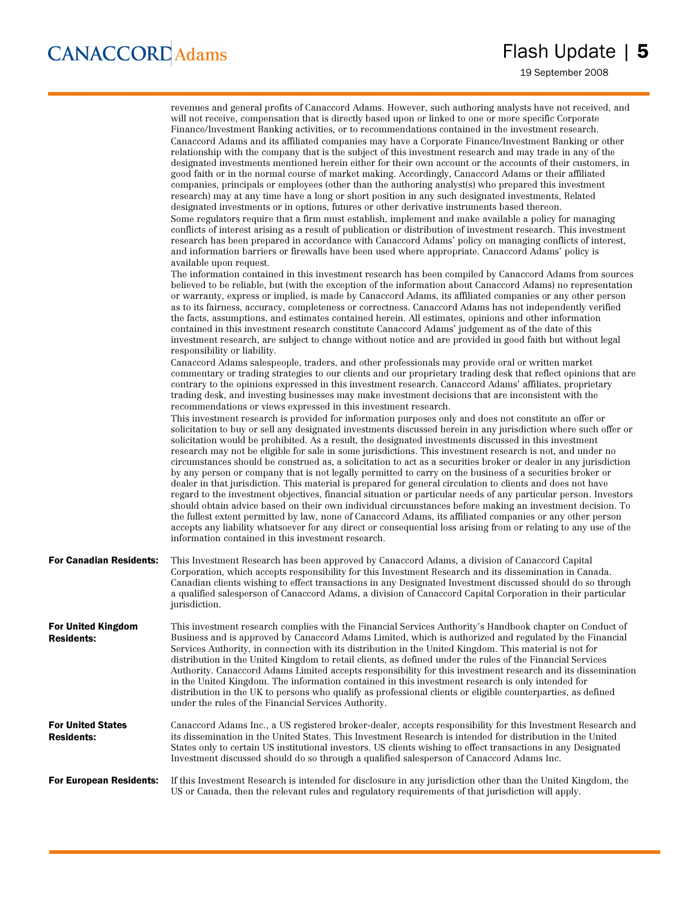|                                                | revenues and general profits of Canaccord Adams. However, such authoring analysts have not received, and<br>will not receive, compensation that is directly based upon or linked to one or more specific Corporate<br>Finance/Investment Banking activities, or to recommendations contained in the investment research.<br>Canaccord Adams and its affiliated companies may have a Corporate Finance/Investment Banking or other<br>relationship with the company that is the subject of this investment research and may trade in any of the<br>designated investments mentioned herein either for their own account or the accounts of their customers, in<br>good faith or in the normal course of market making. Accordingly, Canaccord Adams or their affiliated<br>companies, principals or employees (other than the authoring analyst(s) who prepared this investment<br>research) may at any time have a long or short position in any such designated investments, Related<br>designated investments or in options, futures or other derivative instruments based thereon.<br>Some regulators require that a firm must establish, implement and make available a policy for managing<br>conflicts of interest arising as a result of publication or distribution of investment research. This investment<br>research has been prepared in accordance with Canaccord Adams' policy on managing conflicts of interest,<br>and information barriers or firewalls have been used where appropriate. Canaccord Adams' policy is<br>available upon request.<br>The information contained in this investment research has been compiled by Canaccord Adams from sources<br>believed to be reliable, but (with the exception of the information about Canaccord Adams) no representation<br>or warranty, express or implied, is made by Canaccord Adams, its affiliated companies or any other person<br>as to its fairness, accuracy, completeness or correctness. Canaccord Adams has not independently verified<br>the facts, assumptions, and estimates contained herein. All estimates, opinions and other information<br>contained in this investment research constitute Canaccord Adams' judgement as of the date of this<br>investment research, are subject to change without notice and are provided in good faith but without legal<br>responsibility or liability.<br>Canaccord Adams salespeople, traders, and other professionals may provide oral or written market<br>commentary or trading strategies to our clients and our proprietary trading desk that reflect opinions that are<br>contrary to the opinions expressed in this investment research. Canaccord Adams' affiliates, proprietary<br>trading desk, and investing businesses may make investment decisions that are inconsistent with the<br>recommendations or views expressed in this investment research.<br>This investment research is provided for information purposes only and does not constitute an offer or<br>solicitation to buy or sell any designated investments discussed herein in any jurisdiction where such offer or<br>solicitation would be prohibited. As a result, the designated investments discussed in this investment<br>research may not be eligible for sale in some jurisdictions. This investment research is not, and under no |
|------------------------------------------------|------------------------------------------------------------------------------------------------------------------------------------------------------------------------------------------------------------------------------------------------------------------------------------------------------------------------------------------------------------------------------------------------------------------------------------------------------------------------------------------------------------------------------------------------------------------------------------------------------------------------------------------------------------------------------------------------------------------------------------------------------------------------------------------------------------------------------------------------------------------------------------------------------------------------------------------------------------------------------------------------------------------------------------------------------------------------------------------------------------------------------------------------------------------------------------------------------------------------------------------------------------------------------------------------------------------------------------------------------------------------------------------------------------------------------------------------------------------------------------------------------------------------------------------------------------------------------------------------------------------------------------------------------------------------------------------------------------------------------------------------------------------------------------------------------------------------------------------------------------------------------------------------------------------------------------------------------------------------------------------------------------------------------------------------------------------------------------------------------------------------------------------------------------------------------------------------------------------------------------------------------------------------------------------------------------------------------------------------------------------------------------------------------------------------------------------------------------------------------------------------------------------------------------------------------------------------------------------------------------------------------------------------------------------------------------------------------------------------------------------------------------------------------------------------------------------------------------------------------------------------------------------------------------------------------------------------------------------------------------------------------------------------------------------------------------------------------------------------------------------------------------------------------------------------------------------------------------------------------------------------------------------------------------------------------------------------------------------------------|
|                                                | circumstances should be construed as, a solicitation to act as a securities broker or dealer in any jurisdiction<br>by any person or company that is not legally permitted to carry on the business of a securities broker or<br>dealer in that jurisdiction. This material is prepared for general circulation to clients and does not have<br>regard to the investment objectives, financial situation or particular needs of any particular person. Investors<br>should obtain advice based on their own individual circumstances before making an investment decision. To<br>the fullest extent permitted by law, none of Canaccord Adams, its affiliated companies or any other person<br>accepts any liability whatsoever for any direct or consequential loss arising from or relating to any use of the<br>information contained in this investment research.                                                                                                                                                                                                                                                                                                                                                                                                                                                                                                                                                                                                                                                                                                                                                                                                                                                                                                                                                                                                                                                                                                                                                                                                                                                                                                                                                                                                                                                                                                                                                                                                                                                                                                                                                                                                                                                                                                                                                                                                                                                                                                                                                                                                                                                                                                                                                                                                                                                                                |
| <b>For Canadian Residents:</b>                 | This Investment Research has been approved by Canaccord Adams, a division of Canaccord Capital<br>Corporation, which accepts responsibility for this Investment Research and its dissemination in Canada.<br>Canadian clients wishing to effect transactions in any Designated Investment discussed should do so through<br>a qualified salesperson of Canaccord Adams, a division of Canaccord Capital Corporation in their particular<br>jurisdiction.                                                                                                                                                                                                                                                                                                                                                                                                                                                                                                                                                                                                                                                                                                                                                                                                                                                                                                                                                                                                                                                                                                                                                                                                                                                                                                                                                                                                                                                                                                                                                                                                                                                                                                                                                                                                                                                                                                                                                                                                                                                                                                                                                                                                                                                                                                                                                                                                                                                                                                                                                                                                                                                                                                                                                                                                                                                                                             |
| <b>For United Kingdom</b><br><b>Residents:</b> | This investment research complies with the Financial Services Authority's Handbook chapter on Conduct of<br>Business and is approved by Canaccord Adams Limited, which is authorized and regulated by the Financial<br>Services Authority, in connection with its distribution in the United Kingdom. This material is not for<br>distribution in the United Kingdom to retail clients, as defined under the rules of the Financial Services<br>Authority. Canaccord Adams Limited accepts responsibility for this investment research and its dissemination<br>in the United Kingdom. The information contained in this investment research is only intended for<br>distribution in the UK to persons who qualify as professional clients or eligible counterparties, as defined<br>under the rules of the Financial Services Authority.                                                                                                                                                                                                                                                                                                                                                                                                                                                                                                                                                                                                                                                                                                                                                                                                                                                                                                                                                                                                                                                                                                                                                                                                                                                                                                                                                                                                                                                                                                                                                                                                                                                                                                                                                                                                                                                                                                                                                                                                                                                                                                                                                                                                                                                                                                                                                                                                                                                                                                            |
| <b>For United States</b><br><b>Residents:</b>  | Canaccord Adams Inc., a US registered broker-dealer, accepts responsibility for this Investment Research and<br>its dissemination in the United States. This Investment Research is intended for distribution in the United<br>States only to certain US institutional investors. US clients wishing to effect transactions in any Designated<br>Investment discussed should do so through a qualified salesperson of Canaccord Adams Inc.                                                                                                                                                                                                                                                                                                                                                                                                                                                                                                                                                                                                                                                                                                                                                                                                                                                                                                                                                                                                                                                                                                                                                                                                                                                                                                                                                                                                                                                                                                                                                                                                                                                                                                                                                                                                                                                                                                                                                                                                                                                                                                                                                                                                                                                                                                                                                                                                                                                                                                                                                                                                                                                                                                                                                                                                                                                                                                           |
| <b>For European Residents:</b>                 | If this Investment Research is intended for disclosure in any jurisdiction other than the United Kingdom, the<br>US or Canada, then the relevant rules and regulatory requirements of that jurisdiction will apply.                                                                                                                                                                                                                                                                                                                                                                                                                                                                                                                                                                                                                                                                                                                                                                                                                                                                                                                                                                                                                                                                                                                                                                                                                                                                                                                                                                                                                                                                                                                                                                                                                                                                                                                                                                                                                                                                                                                                                                                                                                                                                                                                                                                                                                                                                                                                                                                                                                                                                                                                                                                                                                                                                                                                                                                                                                                                                                                                                                                                                                                                                                                                  |